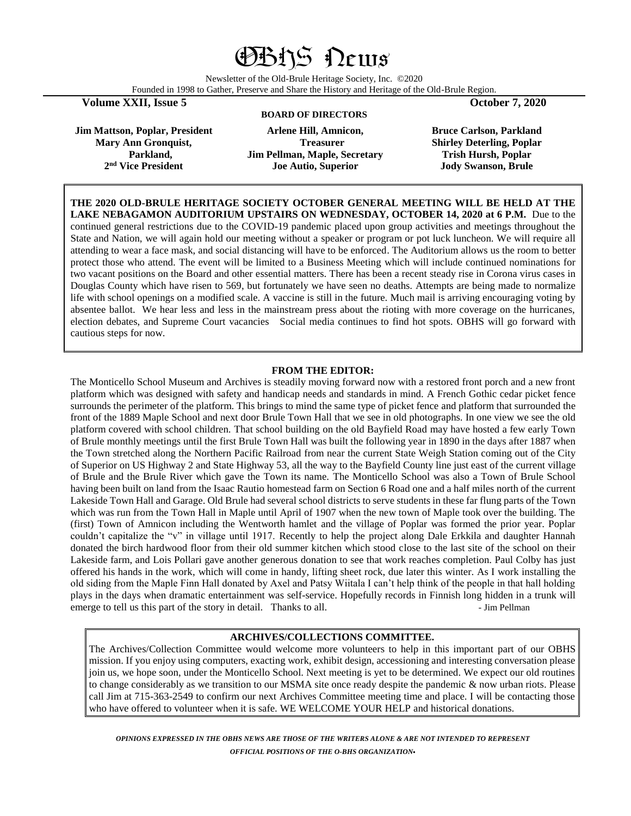# OBHS News

Newsletter of the Old-Brule Heritage Society, Inc. ©2020 Founded in 1998 to Gather, Preserve and Share the History and Heritage of the Old-Brule Region.

**Volume XXII, Issue 5 October 7, 2020**

## **BOARD OF DIRECTORS**

**Jim Mattson, Poplar, President Mary Ann Gronquist, Parkland, 2 nd Vice President**

**Arlene Hill, Amnicon, Treasurer Jim Pellman, Maple, Secretary Joe Autio, Superior** 

**Bruce Carlson, Parkland Shirley Deterling, Poplar Trish Hursh, Poplar Jody Swanson, Brule**

**THE 2020 OLD-BRULE HERITAGE SOCIETY OCTOBER GENERAL MEETING WILL BE HELD AT THE LAKE NEBAGAMON AUDITORIUM UPSTAIRS ON WEDNESDAY, OCTOBER 14, 2020 at 6 P.M.** Due to the continued general restrictions due to the COVID-19 pandemic placed upon group activities and meetings throughout the State and Nation, we will again hold our meeting without a speaker or program or pot luck luncheon. We will require all attending to wear a face mask, and social distancing will have to be enforced. The Auditorium allows us the room to better protect those who attend. The event will be limited to a Business Meeting which will include continued nominations for two vacant positions on the Board and other essential matters. There has been a recent steady rise in Corona virus cases in Douglas County which have risen to 569, but fortunately we have seen no deaths. Attempts are being made to normalize life with school openings on a modified scale. A vaccine is still in the future. Much mail is arriving encouraging voting by absentee ballot. We hear less and less in the mainstream press about the rioting with more coverage on the hurricanes, election debates, and Supreme Court vacancies Social media continues to find hot spots. OBHS will go forward with cautious steps for now.

## **FROM THE EDITOR:**

The Monticello School Museum and Archives is steadily moving forward now with a restored front porch and a new front platform which was designed with safety and handicap needs and standards in mind. A French Gothic cedar picket fence surrounds the perimeter of the platform. This brings to mind the same type of picket fence and platform that surrounded the front of the 1889 Maple School and next door Brule Town Hall that we see in old photographs. In one view we see the old platform covered with school children. That school building on the old Bayfield Road may have hosted a few early Town of Brule monthly meetings until the first Brule Town Hall was built the following year in 1890 in the days after 1887 when the Town stretched along the Northern Pacific Railroad from near the current State Weigh Station coming out of the City of Superior on US Highway 2 and State Highway 53, all the way to the Bayfield County line just east of the current village of Brule and the Brule River which gave the Town its name. The Monticello School was also a Town of Brule School having been built on land from the Isaac Rautio homestead farm on Section 6 Road one and a half miles north of the current Lakeside Town Hall and Garage. Old Brule had several school districts to serve students in these far flung parts of the Town which was run from the Town Hall in Maple until April of 1907 when the new town of Maple took over the building. The (first) Town of Amnicon including the Wentworth hamlet and the village of Poplar was formed the prior year. Poplar couldn't capitalize the "v" in village until 1917. Recently to help the project along Dale Erkkila and daughter Hannah donated the birch hardwood floor from their old summer kitchen which stood close to the last site of the school on their Lakeside farm, and Lois Pollari gave another generous donation to see that work reaches completion. Paul Colby has just offered his hands in the work, which will come in handy, lifting sheet rock, due later this winter. As I work installing the old siding from the Maple Finn Hall donated by Axel and Patsy Wiitala I can't help think of the people in that hall holding plays in the days when dramatic entertainment was self-service. Hopefully records in Finnish long hidden in a trunk will emerge to tell us this part of the story in detail. Thanks to all.  $\blacksquare$  - Jim Pellman

## **ARCHIVES/COLLECTIONS COMMITTEE.**

The Archives/Collection Committee would welcome more volunteers to help in this important part of our OBHS mission. If you enjoy using computers, exacting work, exhibit design, accessioning and interesting conversation please join us, we hope soon, under the Monticello School. Next meeting is yet to be determined. We expect our old routines to change considerably as we transition to our MSMA site once ready despite the pandemic & now urban riots. Please call Jim at 715-363-2549 to confirm our next Archives Committee meeting time and place. I will be contacting those who have offered to volunteer when it is safe. WE WELCOME YOUR HELP and historical donations.

*OPINIONS EXPRESSED IN THE OBHS NEWS ARE THOSE OF THE WRITERS ALONE & ARE NOT INTENDED TO REPRESENT OFFICIAL POSITIONS OF THE O-BHS ORGANIZATION.*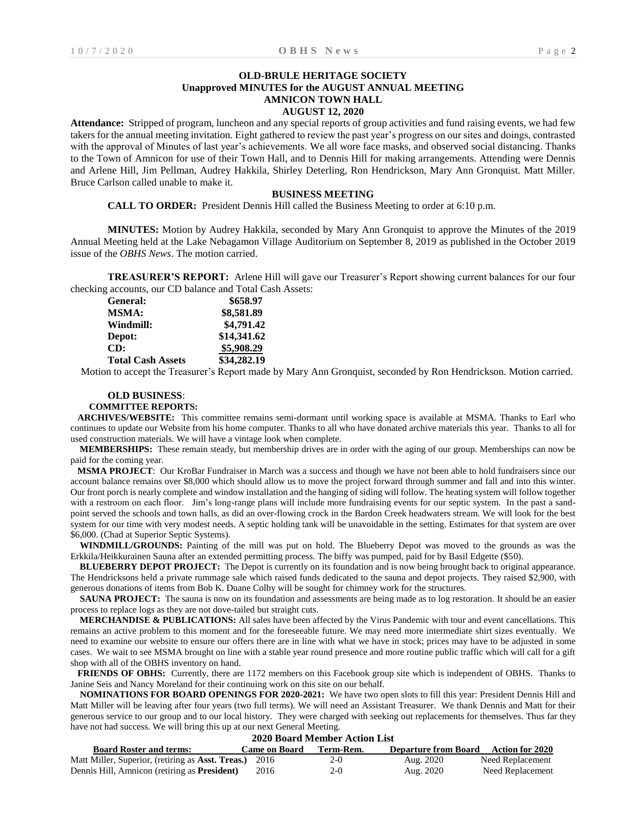# **OLD-BRULE HERITAGE SOCIETY Unapproved MINUTES for the AUGUST ANNUAL MEETING AMNICON TOWN HALL**

# **AUGUST 12, 2020**

**Attendance:** Stripped of program, luncheon and any special reports of group activities and fund raising events, we had few takers for the annual meeting invitation. Eight gathered to review the past year's progress on our sites and doings, contrasted with the approval of Minutes of last year's achievements. We all wore face masks, and observed social distancing. Thanks to the Town of Amnicon for use of their Town Hall, and to Dennis Hill for making arrangements. Attending were Dennis and Arlene Hill, Jim Pellman, Audrey Hakkila, Shirley Deterling, Ron Hendrickson, Mary Ann Gronquist. Matt Miller. Bruce Carlson called unable to make it.

### **BUSINESS MEETING**

**CALL TO ORDER:** President Dennis Hill called the Business Meeting to order at 6:10 p.m.

**MINUTES:** Motion by Audrey Hakkila, seconded by Mary Ann Gronquist to approve the Minutes of the 2019 Annual Meeting held at the Lake Nebagamon Village Auditorium on September 8, 2019 as published in the October 2019 issue of the *OBHS News*. The motion carried.

**TREASURER'S REPORT:** Arlene Hill will gave our Treasurer's Report showing current balances for our four checking accounts, our CD balance and Total Cash Assets:

| <b>General:</b>          | \$658.97    |
|--------------------------|-------------|
| <b>MSMA:</b>             | \$8,581.89  |
| Windmill:                | \$4,791.42  |
| Depot:                   | \$14,341.62 |
| CD:                      | \$5,908.29  |
| <b>Total Cash Assets</b> | \$34,282.19 |

Motion to accept the Treasurer's Report made by Mary Ann Gronquist, seconded by Ron Hendrickson. Motion carried.

## **OLD BUSINESS**:

#### **COMMITTEE REPORTS:**

 **ARCHIVES/WEBSITE:** This committee remains semi-dormant until working space is available at MSMA. Thanks to Earl who continues to update our Website from his home computer. Thanks to all who have donated archive materials this year. Thanks to all for used construction materials. We will have a vintage look when complete.

 **MEMBERSHIPS:** These remain steady, but membership drives are in order with the aging of our group. Memberships can now be paid for the coming year.

 **MSMA PROJECT**: Our KroBar Fundraiser in March was a success and though we have not been able to hold fundraisers since our account balance remains over \$8,000 which should allow us to move the project forward through summer and fall and into this winter. Our front porch is nearly complete and window installation and the hanging of siding will follow. The heating system will follow together with a restroom on each floor. Jim's long-range plans will include more fundraising events for our septic system. In the past a sandpoint served the schools and town halls, as did an over-flowing crock in the Bardon Creek headwaters stream. We will look for the best system for our time with very modest needs. A septic holding tank will be unavoidable in the setting. Estimates for that system are over \$6,000. (Chad at Superior Septic Systems).

 **WINDMILL/GROUNDS:** Painting of the mill was put on hold. The Blueberry Depot was moved to the grounds as was the Erkkila/Heikkurainen Sauna after an extended permitting process. The biffy was pumped, paid for by Basil Edgette (\$50).

 **BLUEBERRY DEPOT PROJECT:** The Depot is currently on its foundation and is now being brought back to original appearance. The Hendricksons held a private rummage sale which raised funds dedicated to the sauna and depot projects. They raised \$2,900, with generous donations of items from Bob K. Duane Colby will be sought for chimney work for the structures.

**SAUNA PROJECT:** The sauna is now on its foundation and assessments are being made as to log restoration. It should be an easier process to replace logs as they are not dove-tailed but straight cuts.

 **MERCHANDISE & PUBLICATIONS:** All sales have been affected by the Virus Pandemic with tour and event cancellations. This remains an active problem to this moment and for the foreseeable future. We may need more intermediate shirt sizes eventually. We need to examine our website to ensure our offers there are in line with what we have in stock; prices may have to be adjusted in some cases. We wait to see MSMA brought on line with a stable year round presence and more routine public traffic which will call for a gift shop with all of the OBHS inventory on hand.

**FRIENDS OF OBHS:** Currently, there are 1172 members on this Facebook group site which is independent of OBHS. Thanks to Janine Seis and Nancy Moreland for their continuing work on this site on our behalf.

 **NOMINATIONS FOR BOARD OPENINGS FOR 2020-2021:** We have two open slots to fill this year: President Dennis Hill and Matt Miller will be leaving after four years (two full terms). We will need an Assistant Treasurer. We thank Dennis and Matt for their generous service to our group and to our local history.They were charged with seeking out replacements for themselves. Thus far they have not had success. We will bring this up at our next General Meeting. **2020 Board Member Action List**

| 2020 Doard Member Action List                            |               |           |                             |                  |
|----------------------------------------------------------|---------------|-----------|-----------------------------|------------------|
| <b>Board Roster and terms:</b>                           | Came on Board | Term-Rem. | <b>Departure from Board</b> | Action for 2020  |
| Matt Miller, Superior, (retiring as <b>Asst. Treas.)</b> | -2016         | $2-0$     | Aug. 2020                   | Need Replacement |
| Dennis Hill, Amnicon (retiring as <b>President</b> )     | 2016          | 2-0       | Aug. 2020                   | Need Replacement |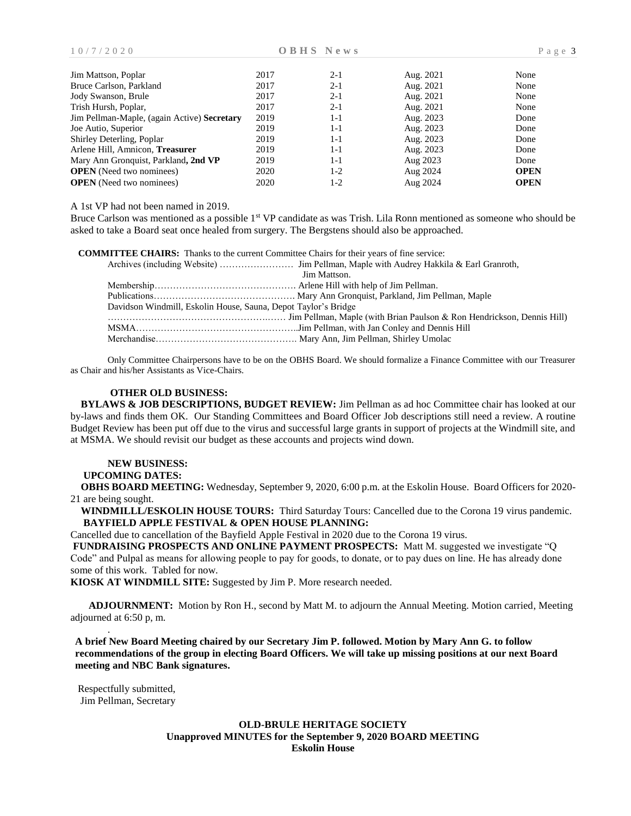| Jim Mattson, Poplar                         | 2017 | $2 - 1$ | Aug. 2021 | None        |
|---------------------------------------------|------|---------|-----------|-------------|
| Bruce Carlson, Parkland                     | 2017 | $2 - 1$ | Aug. 2021 | None        |
| Jody Swanson, Brule                         | 2017 | $2 - 1$ | Aug. 2021 | None        |
| Trish Hursh, Poplar,                        | 2017 | $2 - 1$ | Aug. 2021 | None        |
| Jim Pellman-Maple, (again Active) Secretary | 2019 | 1-1     | Aug. 2023 | Done        |
| Joe Autio, Superior                         | 2019 | 1-1     | Aug. 2023 | Done        |
| Shirley Deterling, Poplar                   | 2019 | $1 - 1$ | Aug. 2023 | Done        |
| Arlene Hill, Amnicon, Treasurer             | 2019 | $1 - 1$ | Aug. 2023 | Done        |
| Mary Ann Gronquist, Parkland, 2nd VP        | 2019 | 1-1     | Aug 2023  | Done        |
| <b>OPEN</b> (Need two nominees)             | 2020 | 1-2     | Aug 2024  | <b>OPEN</b> |
| <b>OPEN</b> (Need two nominees)             | 2020 | 1-2     | Aug 2024  | <b>OPEN</b> |

A 1st VP had not been named in 2019.

Bruce Carlson was mentioned as a possible 1<sup>st</sup> VP candidate as was Trish. Lila Ronn mentioned as someone who should be asked to take a Board seat once healed from surgery. The Bergstens should also be approached.

|                                                                | <b>COMMITTEE CHAIRS:</b> Thanks to the current Committee Chairs for their years of fine service: |
|----------------------------------------------------------------|--------------------------------------------------------------------------------------------------|
|                                                                |                                                                                                  |
|                                                                | Jim Mattson.                                                                                     |
|                                                                |                                                                                                  |
|                                                                |                                                                                                  |
| Davidson Windmill, Eskolin House, Sauna, Depot Taylor's Bridge |                                                                                                  |
|                                                                |                                                                                                  |
|                                                                |                                                                                                  |
|                                                                |                                                                                                  |

Only Committee Chairpersons have to be on the OBHS Board. We should formalize a Finance Committee with our Treasurer as Chair and his/her Assistants as Vice-Chairs.

## **OTHER OLD BUSINESS:**

 **BYLAWS & JOB DESCRIPTIONS, BUDGET REVIEW:** Jim Pellman as ad hoc Committee chair has looked at our by-laws and finds them OK. Our Standing Committees and Board Officer Job descriptions still need a review. A routine Budget Review has been put off due to the virus and successful large grants in support of projects at the Windmill site, and at MSMA. We should revisit our budget as these accounts and projects wind down.

# **NEW BUSINESS:**

# **UPCOMING DATES:**

 **OBHS BOARD MEETING:** Wednesday, September 9, 2020, 6:00 p.m. at the Eskolin House. Board Officers for 2020- 21 are being sought.

 **WINDMILLL/ESKOLIN HOUSE TOURS:** Third Saturday Tours: Cancelled due to the Corona 19 virus pandemic. **BAYFIELD APPLE FESTIVAL & OPEN HOUSE PLANNING:** 

Cancelled due to cancellation of the Bayfield Apple Festival in 2020 due to the Corona 19 virus.

**FUNDRAISING PROSPECTS AND ONLINE PAYMENT PROSPECTS:** Matt M. suggested we investigate "Q Code" and Pulpal as means for allowing people to pay for goods, to donate, or to pay dues on line. He has already done some of this work. Tabled for now.

**KIOSK AT WINDMILL SITE:** Suggested by Jim P. More research needed.

 **ADJOURNMENT:** Motion by Ron H., second by Matt M. to adjourn the Annual Meeting. Motion carried, Meeting adjourned at 6:50 p, m.

**A brief New Board Meeting chaired by our Secretary Jim P. followed. Motion by Mary Ann G. to follow recommendations of the group in electing Board Officers. We will take up missing positions at our next Board meeting and NBC Bank signatures.**

Respectfully submitted, Jim Pellman, Secretary

.

# **OLD-BRULE HERITAGE SOCIETY Unapproved MINUTES for the September 9, 2020 BOARD MEETING Eskolin House**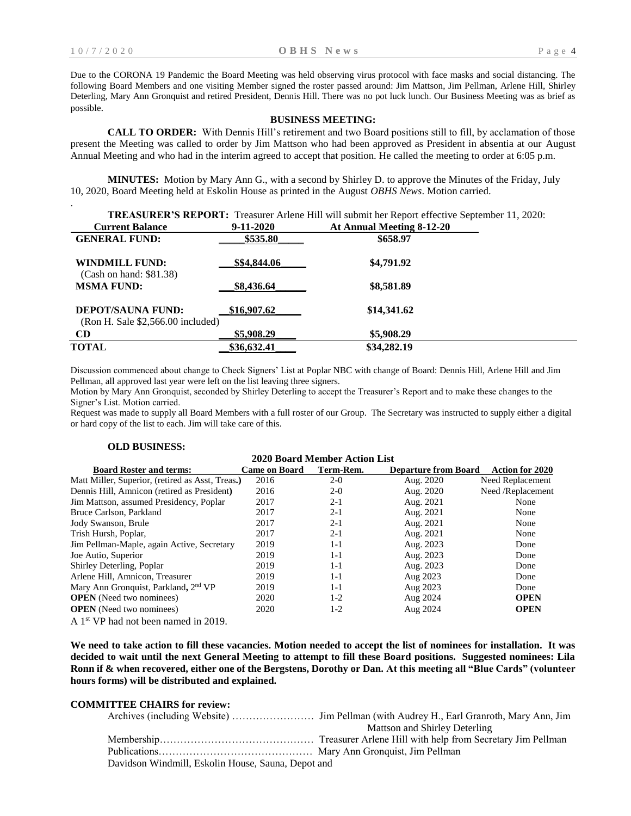.

Due to the CORONA 19 Pandemic the Board Meeting was held observing virus protocol with face masks and social distancing. The following Board Members and one visiting Member signed the roster passed around: Jim Mattson, Jim Pellman, Arlene Hill, Shirley Deterling, Mary Ann Gronquist and retired President, Dennis Hill. There was no pot luck lunch. Our Business Meeting was as brief as possible.

#### **BUSINESS MEETING:**

**CALL TO ORDER:** With Dennis Hill's retirement and two Board positions still to fill, by acclamation of those present the Meeting was called to order by Jim Mattson who had been approved as President in absentia at our August Annual Meeting and who had in the interim agreed to accept that position. He called the meeting to order at 6:05 p.m.

**MINUTES:** Motion by Mary Ann G., with a second by Shirley D. to approve the Minutes of the Friday, July 10, 2020, Board Meeting held at Eskolin House as printed in the August *OBHS News*. Motion carried.

|                                                               |              | <b>TREASURER'S REPORT:</b> Treasurer Arlene Hill will submit her Report effective September 11, 2020: |
|---------------------------------------------------------------|--------------|-------------------------------------------------------------------------------------------------------|
| <b>Current Balance</b>                                        | 9-11-2020    | At Annual Meeting 8-12-20                                                                             |
| <b>GENERAL FUND:</b>                                          | \$535.80     | \$658.97                                                                                              |
| WINDMILL FUND:<br>(Cash on hand: \$81.38)                     | \$\$4,844.06 | \$4,791.92                                                                                            |
| <b>MSMA FUND:</b>                                             | \$8,436.64   | \$8,581.89                                                                                            |
| <b>DEPOT/SAUNA FUND:</b><br>(Ron H. Sale \$2,566.00 included) | \$16,907.62  | \$14,341.62                                                                                           |
| <b>CD</b>                                                     | \$5,908.29   | \$5,908.29                                                                                            |
| <b>TOTAL</b>                                                  | \$36,632.41  | \$34,282.19                                                                                           |

Discussion commenced about change to Check Signers' List at Poplar NBC with change of Board: Dennis Hill, Arlene Hill and Jim Pellman, all approved last year were left on the list leaving three signers.

Motion by Mary Ann Gronquist, seconded by Shirley Deterling to accept the Treasurer's Report and to make these changes to the Signer's List. Motion carried.

Request was made to supply all Board Members with a full roster of our Group. The Secretary was instructed to supply either a digital or hard copy of the list to each. Jim will take care of this.

| <b>2020 Board Member Action List</b>             |                      |           |                             |                        |
|--------------------------------------------------|----------------------|-----------|-----------------------------|------------------------|
| <b>Board Roster and terms:</b>                   | <b>Came on Board</b> | Term-Rem. | <b>Departure from Board</b> | <b>Action for 2020</b> |
| Matt Miller, Superior, (retired as Asst, Treas.) | 2016                 | $2-0$     | Aug. 2020                   | Need Replacement       |
| Dennis Hill, Amnicon (retired as President)      | 2016                 | $2-0$     | Aug. 2020                   | Need /Replacement      |
| Jim Mattson, assumed Presidency, Poplar          | 2017                 | $2 - 1$   | Aug. 2021                   | None                   |
| Bruce Carlson, Parkland                          | 2017                 | $2 - 1$   | Aug. 2021                   | None                   |
| Jody Swanson, Brule                              | 2017                 | $2 - 1$   | Aug. 2021                   | None                   |
| Trish Hursh, Poplar,                             | 2017                 | $2 - 1$   | Aug. 2021                   | None                   |
| Jim Pellman-Maple, again Active, Secretary       | 2019                 | $1 - 1$   | Aug. 2023                   | Done                   |
| Joe Autio, Superior                              | 2019                 | $1 - 1$   | Aug. 2023                   | Done                   |
| Shirley Deterling, Poplar                        | 2019                 | $1 - 1$   | Aug. 2023                   | Done                   |
| Arlene Hill, Amnicon, Treasurer                  | 2019                 | $1 - 1$   | Aug 2023                    | Done                   |
| Mary Ann Gronquist, Parkland, 2 <sup>nd</sup> VP | 2019                 | $1 - 1$   | Aug 2023                    | Done                   |
| <b>OPEN</b> (Need two nominees)                  | 2020                 | $1-2$     | Aug 2024                    | <b>OPEN</b>            |
| <b>OPEN</b> (Need two nominees)                  | 2020                 | $1-2$     | Aug 2024                    | <b>OPEN</b>            |
| A $1st$ VP had not been named in 2019.           |                      |           |                             |                        |

**We need to take action to fill these vacancies. Motion needed to accept the list of nominees for installation. It was decided to wait until the next General Meeting to attempt to fill these Board positions. Suggested nominees: Lila Ronn if & when recovered, either one of the Bergstens, Dorothy or Dan. At this meeting all "Blue Cards" (volunteer hours forms) will be distributed and explained.**

## **COMMITTEE CHAIRS for review:**

**OLD BUSINESS:**

Publications……………………………………… Mary Ann Gronquist, Jim Pellman Davidson Windmill, Eskolin House, Sauna, Depot and

Archives (including Website) …………………… Jim Pellman (with Audrey H., Earl Granroth, Mary Ann, Jim Mattson and Shirley Deterling

Membership……………………………………… Treasurer Arlene Hill with help from Secretary Jim Pellman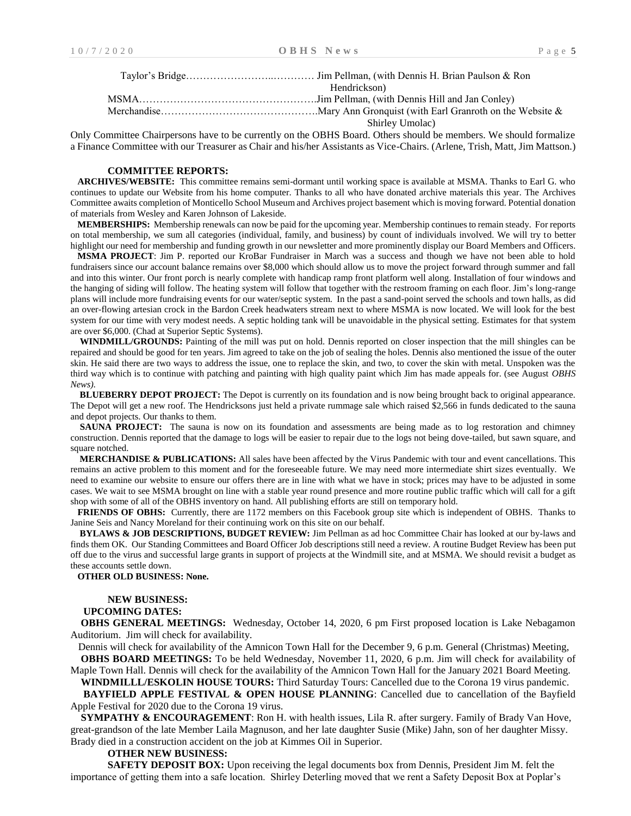| Hendrickson)    |
|-----------------|
|                 |
|                 |
| Shirley Umolac) |

Only Committee Chairpersons have to be currently on the OBHS Board. Others should be members. We should formalize a Finance Committee with our Treasurer as Chair and his/her Assistants as Vice-Chairs. (Arlene, Trish, Matt, Jim Mattson.)

#### **COMMITTEE REPORTS:**

 **ARCHIVES/WEBSITE:** This committee remains semi-dormant until working space is available at MSMA. Thanks to Earl G. who continues to update our Website from his home computer. Thanks to all who have donated archive materials this year. The Archives Committee awaits completion of Monticello School Museum and Archives project basement which is moving forward. Potential donation of materials from Wesley and Karen Johnson of Lakeside.

 **MEMBERSHIPS:** Membership renewals can now be paid for the upcoming year. Membership continues to remain steady. For reports on total membership, we sum all categories (individual, family, and business) by count of individuals involved. We will try to better highlight our need for membership and funding growth in our newsletter and more prominently display our Board Members and Officers.

 **MSMA PROJECT**: Jim P. reported our KroBar Fundraiser in March was a success and though we have not been able to hold fundraisers since our account balance remains over \$8,000 which should allow us to move the project forward through summer and fall and into this winter. Our front porch is nearly complete with handicap ramp front platform well along. Installation of four windows and the hanging of siding will follow. The heating system will follow that together with the restroom framing on each floor. Jim's long-range plans will include more fundraising events for our water/septic system. In the past a sand-point served the schools and town halls, as did an over-flowing artesian crock in the Bardon Creek headwaters stream next to where MSMA is now located. We will look for the best system for our time with very modest needs. A septic holding tank will be unavoidable in the physical setting. Estimates for that system are over \$6,000. (Chad at Superior Septic Systems).

 **WINDMILL/GROUNDS:** Painting of the mill was put on hold. Dennis reported on closer inspection that the mill shingles can be repaired and should be good for ten years. Jim agreed to take on the job of sealing the holes. Dennis also mentioned the issue of the outer skin. He said there are two ways to address the issue, one to replace the skin, and two, to cover the skin with metal. Unspoken was the third way which is to continue with patching and painting with high quality paint which Jim has made appeals for. (see August *OBHS*   $N_{\text{PWS}}$ 

 **BLUEBERRY DEPOT PROJECT:** The Depot is currently on its foundation and is now being brought back to original appearance. The Depot will get a new roof. The Hendricksons just held a private rummage sale which raised \$2,566 in funds dedicated to the sauna and depot projects. Our thanks to them.

**SAUNA PROJECT:** The sauna is now on its foundation and assessments are being made as to log restoration and chimney construction. Dennis reported that the damage to logs will be easier to repair due to the logs not being dove-tailed, but sawn square, and square notched.

 **MERCHANDISE & PUBLICATIONS:** All sales have been affected by the Virus Pandemic with tour and event cancellations. This remains an active problem to this moment and for the foreseeable future. We may need more intermediate shirt sizes eventually. We need to examine our website to ensure our offers there are in line with what we have in stock; prices may have to be adjusted in some cases. We wait to see MSMA brought on line with a stable year round presence and more routine public traffic which will call for a gift shop with some of all of the OBHS inventory on hand. All publishing efforts are still on temporary hold.

 **FRIENDS OF OBHS:** Currently, there are 1172 members on this Facebook group site which is independent of OBHS. Thanks to Janine Seis and Nancy Moreland for their continuing work on this site on our behalf.

 **BYLAWS & JOB DESCRIPTIONS, BUDGET REVIEW:** Jim Pellman as ad hoc Committee Chair has looked at our by-laws and finds them OK. Our Standing Committees and Board Officer Job descriptions still need a review. A routine Budget Review has been put off due to the virus and successful large grants in support of projects at the Windmill site, and at MSMA. We should revisit a budget as these accounts settle down.

 **OTHER OLD BUSINESS: None.**

#### **NEW BUSINESS:**

#### **UPCOMING DATES:**

 **OBHS GENERAL MEETINGS:** Wednesday, October 14, 2020, 6 pm First proposed location is Lake Nebagamon Auditorium. Jim will check for availability.

 Dennis will check for availability of the Amnicon Town Hall for the December 9, 6 p.m. General (Christmas) Meeting, **OBHS BOARD MEETINGS:** To be held Wednesday, November 11, 2020, 6 p.m. Jim will check for availability of

Maple Town Hall. Dennis will check for the availability of the Amnicon Town Hall for the January 2021 Board Meeting.  **WINDMILLL/ESKOLIN HOUSE TOURS:** Third Saturday Tours: Cancelled due to the Corona 19 virus pandemic.

**BAYFIELD APPLE FESTIVAL & OPEN HOUSE PLANNING:** Cancelled due to cancellation of the Bayfield Apple Festival for 2020 due to the Corona 19 virus.

 **SYMPATHY & ENCOURAGEMENT**: Ron H. with health issues, Lila R. after surgery. Family of Brady Van Hove, great-grandson of the late Member Laila Magnuson, and her late daughter Susie (Mike) Jahn, son of her daughter Missy. Brady died in a construction accident on the job at Kimmes Oil in Superior.

#### **OTHER NEW BUSINESS:**

**SAFETY DEPOSIT BOX:** Upon receiving the legal documents box from Dennis, President Jim M. felt the importance of getting them into a safe location. Shirley Deterling moved that we rent a Safety Deposit Box at Poplar's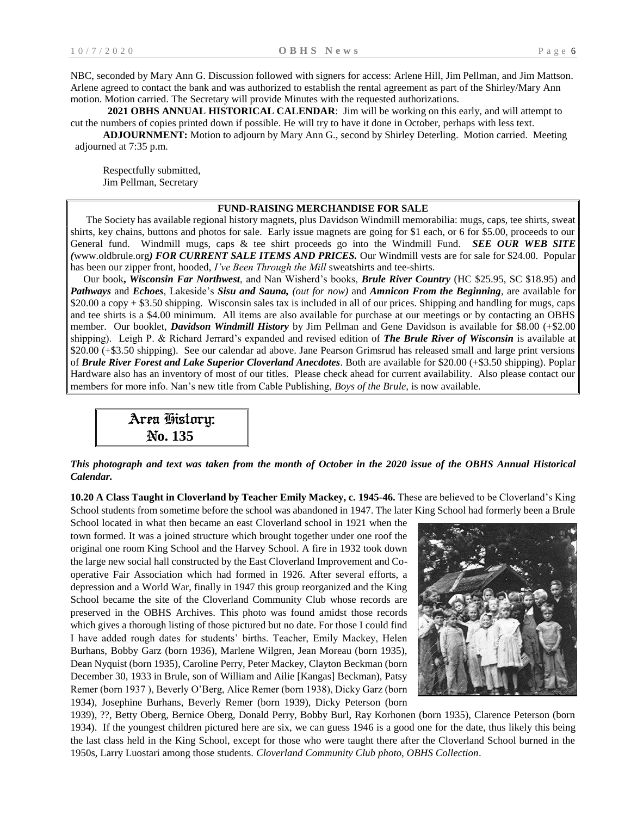NBC, seconded by Mary Ann G. Discussion followed with signers for access: Arlene Hill, Jim Pellman, and Jim Mattson. Arlene agreed to contact the bank and was authorized to establish the rental agreement as part of the Shirley/Mary Ann motion. Motion carried. The Secretary will provide Minutes with the requested authorizations.

**2021 OBHS ANNUAL HISTORICAL CALENDAR**: Jim will be working on this early, and will attempt to cut the numbers of copies printed down if possible. He will try to have it done in October, perhaps with less text.

**ADJOURNMENT:** Motion to adjourn by Mary Ann G., second by Shirley Deterling. Motion carried. Meeting adjourned at 7:35 p.m.

Respectfully submitted, Jim Pellman, Secretary

#### **FUND-RAISING MERCHANDISE FOR SALE**

 The Society has available regional history magnets, plus Davidson Windmill memorabilia: mugs, caps, tee shirts, sweat shirts, key chains, buttons and photos for sale. Early issue magnets are going for \$1 each, or 6 for \$5.00, proceeds to our General fund. Windmill mugs, caps & tee shirt proceeds go into the Windmill Fund. *SEE OUR WEB SITE (*[www.oldbrule.org](http://www.oldbrule.org)/)*) FOR CURRENT SALE ITEMS AND PRICES.* Our Windmill vests are for sale for \$24.00. Popular has been our zipper front, hooded, *I've Been Through the Mill* sweatshirts and tee-shirts.

 Our book**,** *Wisconsin Far Northwest*, and Nan Wisherd's books, *Brule River Country* (HC \$25.95, SC \$18.95) and *Pathways* and *Echoes*, Lakeside's *Sisu and Sauna, (out for now)* and *Amnicon From the Beginning*, are available for \$20.00 a copy + \$3.50 shipping. Wisconsin sales tax is included in all of our prices. Shipping and handling for mugs, caps and tee shirts is a \$4.00 minimum. All items are also available for purchase at our meetings or by contacting an OBHS member. Our booklet, *Davidson Windmill History* by Jim Pellman and Gene Davidson is available for \$8.00 (+\$2.00 shipping). Leigh P. & Richard Jerrard's expanded and revised edition of *The Brule River of Wisconsin* is available at \$20.00 (+\$3.50 shipping). See our calendar ad above. Jane Pearson Grimsrud has released small and large print versions of *Brule River Forest and Lake Superior Cloverland Anecdotes*. Both are available for \$20.00 (+\$3.50 shipping). Poplar Hardware also has an inventory of most of our titles. Please check ahead for current availability. Also please contact our members for more info. Nan's new title from Cable Publishing, *Boys of the Brule,* is now available.

Area History: N**o. 135**

*This photograph and text was taken from the month of October in the 2020 issue of the OBHS Annual Historical Calendar.*

**10.20 A Class Taught in Cloverland by Teacher Emily Mackey, c. 1945-46.** These are believed to be Cloverland's King School students from sometime before the school was abandoned in 1947. The later King School had formerly been a Brule

School located in what then became an east Cloverland school in 1921 when the town formed. It was a joined structure which brought together under one roof the original one room King School and the Harvey School. A fire in 1932 took down the large new social hall constructed by the East Cloverland Improvement and Cooperative Fair Association which had formed in 1926. After several efforts, a depression and a World War, finally in 1947 this group reorganized and the King School became the site of the Cloverland Community Club whose records are preserved in the OBHS Archives. This photo was found amidst those records which gives a thorough listing of those pictured but no date. For those I could find I have added rough dates for students' births. Teacher, Emily Mackey, Helen Burhans, Bobby Garz (born 1936), Marlene Wilgren, Jean Moreau (born 1935), Dean Nyquist (born 1935), Caroline Perry, Peter Mackey, Clayton Beckman (born December 30, 1933 in Brule, son of William and Ailie [Kangas] Beckman), Patsy Remer (born 1937 ), Beverly O'Berg, Alice Remer (born 1938), Dicky Garz (born 1934), Josephine Burhans, Beverly Remer (born 1939), Dicky Peterson (born



1939), ??, Betty Oberg, Bernice Oberg, Donald Perry, Bobby Burl, Ray Korhonen (born 1935), Clarence Peterson (born 1934). If the youngest children pictured here are six, we can guess 1946 is a good one for the date, thus likely this being the last class held in the King School, except for those who were taught there after the Cloverland School burned in the 1950s, Larry Luostari among those students. *Cloverland Community Club photo, OBHS Collection*.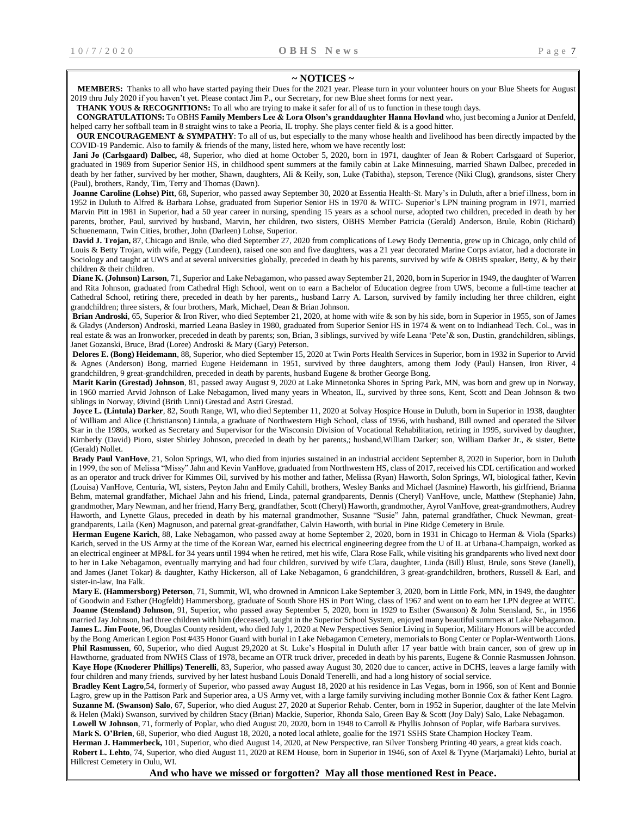#### **~ NOTICES ~**

 **MEMBERS:** Thanks to all who have started paying their Dues for the 2021 year. Please turn in your volunteer hours on your Blue Sheets for August 2019 thru July 2020 if you haven't yet. Please contact Jim P., our Secretary, for new Blue sheet forms for next year**.**

**THANK YOUS & RECOGNITIONS:** To all who are trying to make it safer for all of us to function in these tough days.

 **CONGRATULATIONS:** To OBHS **Family Members Lee & Lora Olson's granddaughter Hanna Hovland** who, just becoming a Junior at Denfeld, helped carry her softball team in 8 straight wins to take a Peoria, IL trophy. She plays center field & is a good hitter.

**OUR ENCOURAGEMENT & SYMPATHY:** To all of us, but especially to the many whose health and livelihood has been directly impacted by the COVID-19 Pandemic. Also to family & friends of the many, listed here, whom we have recently lost:

**Jani Jo (Carlsgaard) Dalbec,** 48, Superior, who died at home October 5, 2020**,** born in 1971, daughter of Jean & Robert Carlsgaard of Superior, graduated in 1989 from Superior Senior HS, in childhood spent summers at the family cabin at Lake Minnesuing, married Shawn Dalbec, preceded in death by her father, survived by her mother, Shawn, daughters, Ali & Keily, son, Luke (Tabitha), stepson, Terence (Niki Clug), grandsons, sister Chery (Paul), brothers, Randy, Tim, Terry and Thomas (Dawn).

**Joanne Caroline (Lohse) Pitt**, 68**,** Superior, who passed away September 30, 2020 at Essentia Health-St. Mary's in Duluth, after a brief illness, born in 1952 in Duluth to Alfred & Barbara Lohse, graduated from Superior Senior HS in 1970 & WITC- Superior's LPN training program in 1971, married Marvin Pitt in 1981 in Superior, had a 50 year career in nursing, spending 15 years as a school nurse, adopted two children, preceded in death by her parents, brother, Paul, survived by husband, Marvin, her children, two sisters, OBHS Member Patricia (Gerald) Anderson, Brule, Robin (Richard) Schuenemann, Twin Cities, brother, John (Darleen) Lohse, Superior.

**David J. Trojan,** 87, Chicago and Brule, who died September 27, 2020 from complications of Lewy Body Dementia, grew up in Chicago, only child of Louis & Betty Trojan, with wife, Peggy (Lundeen), raised one son and five daughters, was a 21 year decorated Marine Corps aviator, had a doctorate in Sociology and taught at UWS and at several universities globally, preceded in death by his parents, survived by wife & OBHS speaker, Betty, & by their children & their children.

**Diane K. (Johnson) Larson**, 71, Superior and Lake Nebagamon, who passed away September 21, 2020, born in Superior in 1949, the daughter of Warren and Rita Johnson, graduated from Cathedral High School, went on to earn a Bachelor of Education degree from UWS, become a full-time teacher at Cathedral School, retiring there, preceded in death by her parents,, husband Larry A. Larson, survived by family including her three children, eight grandchildren; three sisters, & four brothers, Mark, Michael, Dean & Brian Johnson.

**Brian Androski**, 65, Superior & Iron River, who died September 21, 2020, at home with wife & son by his side, born in Superior in 1955, son of James & Gladys (Anderson) Androski, married Leana Basley in 1980, graduated from Superior Senior HS in 1974 & went on to Indianhead Tech. Col., was in real estate & was an Ironworker, preceded in death by parents; son, Brian, 3 siblings, survived by wife Leana 'Pete'& son, Dustin, grandchildren, siblings, Janet Gozanski, Bruce, Brad (Loree) Androski & Mary (Gary) Peterson.

**Delores E. (Bong) Heidemann**, 88, Superior, who died September 15, 2020 at Twin Ports Health Services in Superior, born in 1932 in Superior to Arvid & Agnes (Anderson) Bong, married Eugene Heidemann in 1951, survived by three daughters, among them Jody (Paul) Hansen, Iron River, 4 grandchildren, 9 great-grandchildren, preceded in death by parents, husband Eugene & brother George Bong.

**Marit Karin (Grestad) Johnson**, 81, passed away August 9, 2020 at Lake Minnetonka Shores in Spring Park, MN, was born and grew up in Norway, in 1960 married Arvid Johnson of Lake Nebagamon, lived many years in Wheaton, IL, survived by three sons, Kent, Scott and Dean Johnson & two siblings in Norway, Øivind (Brith Unni) Grestad and Astri Grestad.

**Joyce L. (Lintula) Darker**, 82, South Range, WI, who died September 11, 2020 at Solvay Hospice House in Duluth, born in Superior in 1938, daughter of William and Alice (Christianson) Lintula, a graduate of Northwestern High School, class of 1956, with husband, Bill owned and operated the Silver Star in the 1980s, worked as Secretary and Supervisor for the Wisconsin Division of Vocational Rehabilitation, retiring in 1995, survived by daughter, Kimberly (David) Pioro, sister Shirley Johnson, preceded in death by her parents,; husband,William Darker; son, William Darker Jr., & sister, Bette (Gerald) Nollet.

**Brady Paul VanHove**, 21, Solon Springs, WI, who died from injuries sustained in an industrial accident September 8, 2020 in Superior, born in Duluth in 1999, the son of Melissa "Missy" Jahn and Kevin VanHove, graduated from Northwestern HS, class of 2017, received his CDL certification and worked as an operator and truck driver for Kimmes Oil, survived by his mother and father, Melissa (Ryan) Haworth, Solon Springs, WI, biological father, Kevin (Louisa) VanHove, Centuria, WI, sisters, Peyton Jahn and Emily Cahill, brothers, Wesley Banks and Michael (Jasmine) Haworth, his girlfriend, Brianna Behm, maternal grandfather, Michael Jahn and his friend, Linda, paternal grandparents, Dennis (Cheryl) VanHove, uncle, Matthew (Stephanie) Jahn, grandmother, Mary Newman, and her friend, Harry Berg, grandfather, Scott (Cheryl) Haworth, grandmother, Ayrol VanHove, great-grandmothers, Audrey Haworth, and Lynette Glaus, preceded in death by his maternal grandmother, Susanne "Susie" Jahn, paternal grandfather, Chuck Newman, greatgrandparents, Laila (Ken) Magnuson, and paternal great-grandfather, Calvin Haworth, with burial in Pine Ridge Cemetery in Brule.

**Herman Eugene Karich**, 88, Lake Nebagamon, who passed away at home September 2, 2020, born in 1931 in Chicago to Herman & Viola (Sparks) Karich, served in the US Army at the time of the Korean War, earned his electrical engineering degree from the U of IL at Urbana-Champaign, worked as an electrical engineer at MP&L for 34 years until 1994 when he retired, met his wife, Clara Rose Falk, while visiting his grandparents who lived next door to her in Lake Nebagamon, eventually marrying and had four children, survived by wife Clara, daughter, Linda (Bill) Blust, Brule, sons Steve (Janell), and James (Janet Tokar) & daughter, Kathy Hickerson, all of Lake Nebagamon, 6 grandchildren, 3 great-grandchildren, brothers, Russell & Earl, and sister-in-law, Ina Falk.

**Mary E. (Hammersborg) Peterson**, 71, Summit, WI, who drowned in Amnicon Lake September 3, 2020, born in Little Fork, MN, in 1949, the daughter of Goodwin and Esther (Hogfeldt) Hammersborg, graduate of South Shore HS in Port Wing, class of 1967 and went on to earn her LPN degree at WITC. **Joanne (Stensland) Johnson**, 91, Superior, who passed away September 5, 2020, born in 1929 to Esther (Swanson) & John Stensland, Sr., in 1956 married Jay Johnson, had three children with him (deceased), taught in the Superior School System, enjoyed many beautiful summers at Lake Nebagamon. **James L. Jim Foote**, 96, Douglas County resident, who died July 1, 2020 at New Perspectives Senior Living in Superior, Military Honors will be accorded by the Bong American Legion Post #435 Honor Guard with burial in Lake Nebagamon Cemetery, memorials to Bong Center or Poplar-Wentworth Lions. **Phil Rasmussen**, 60, Superior, who died August 29,2020 at St. Luke's Hospital in Duluth after 17 year battle with brain cancer, son of grew up in Hawthorne, graduated from NWHS Class of 1978, became an OTR truck driver, preceded in death by his parents, Eugene & Connie Rasmussen Johnson. **Kaye Hope (Knoderer Phillips) Tenerelli**, 83, Superior, who passed away August 30, 2020 due to cancer, active in DCHS, leaves a large family with four children and many friends, survived by her latest husband Louis Donald Tenerelli, and had a long history of social service.

**Bradley Kent Lagro**,54, formerly of Superior, who passed away August 18, 2020 at his residence in Las Vegas, born in 1966, son of Kent and Bonnie Lagro, grew up in the Pattison Park and Superior area, a US Army vet, with a large family surviving including mother Bonnie Cox & father Kent Lagro. **Suzanne M. (Swanson) Salo**, 67, Superior, who died August 27, 2020 at Superior Rehab. Center, born in 1952 in Superior, daughter of the late Melvin & Helen (Maki) Swanson, survived by children Stacy (Brian) Mackie, Superior, Rhonda Salo, Green Bay & Scott (Joy Daly) Salo, Lake Nebagamon. **Lowell W Johnson**, 71, formerly of Poplar, who died August 20, 2020, born in 1948 to Carroll & Phyllis Johnson of Poplar, wife Barbara survives.

**Mark S. O'Brien**, 68, Superior, who died August 18, 2020, a noted local athlete, goalie for the 1971 SSHS State Champion Hockey Team. **Herman J. Hammerbeck,** 101, Superior, who died August 14, 2020, at New Perspective, ran Silver Tonsberg Printing 40 years, a great kids coach. **Robert L. Lehto**, 74, Superior, who died August 11, 2020 at REM House, born in Superior in 1946, son of Axel & Tyyne (Marjamaki) Lehto, burial at Hillcrest Cemetery in Oulu, WI.

**And who have we missed or forgotten? May all those mentioned Rest in Peace.**